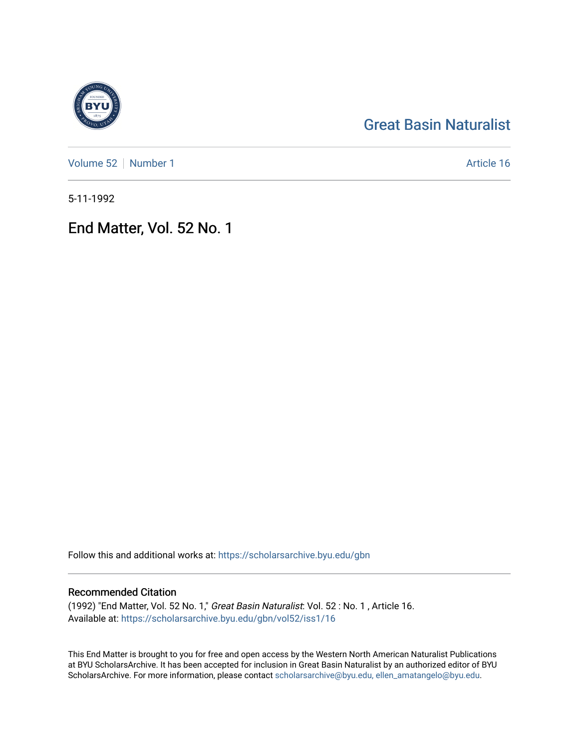# [Great Basin Naturalist](https://scholarsarchive.byu.edu/gbn)

[Volume 52](https://scholarsarchive.byu.edu/gbn/vol52) [Number 1](https://scholarsarchive.byu.edu/gbn/vol52/iss1) Article 16

5-11-1992

End Matter, Vol. 52 No. 1

Follow this and additional works at: [https://scholarsarchive.byu.edu/gbn](https://scholarsarchive.byu.edu/gbn?utm_source=scholarsarchive.byu.edu%2Fgbn%2Fvol52%2Fiss1%2F16&utm_medium=PDF&utm_campaign=PDFCoverPages) 

## Recommended Citation

(1992) "End Matter, Vol. 52 No. 1," Great Basin Naturalist: Vol. 52 : No. 1 , Article 16. Available at: [https://scholarsarchive.byu.edu/gbn/vol52/iss1/16](https://scholarsarchive.byu.edu/gbn/vol52/iss1/16?utm_source=scholarsarchive.byu.edu%2Fgbn%2Fvol52%2Fiss1%2F16&utm_medium=PDF&utm_campaign=PDFCoverPages) 

This End Matter is brought to you for free and open access by the Western North American Naturalist Publications at BYU ScholarsArchive. It has been accepted for inclusion in Great Basin Naturalist by an authorized editor of BYU ScholarsArchive. For more information, please contact [scholarsarchive@byu.edu, ellen\\_amatangelo@byu.edu.](mailto:scholarsarchive@byu.edu,%20ellen_amatangelo@byu.edu)

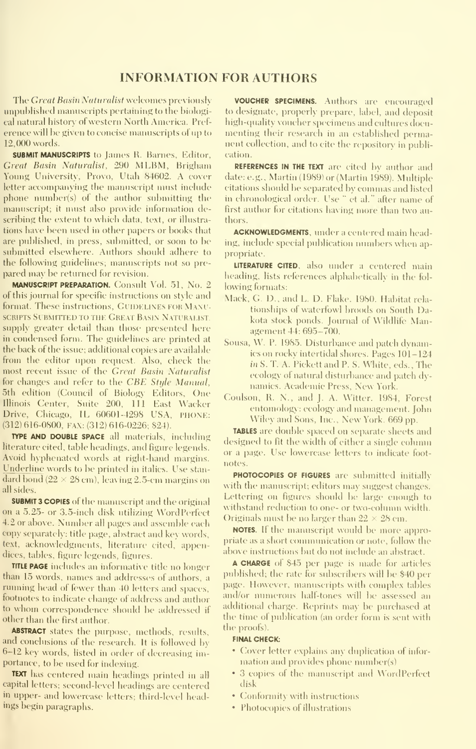### INFORMATION FOR AUTHORS

The Great Basin Naturalist welcomes previously unpublished manuseripts pertaining to the biologieal natural history of western North America. Preference will be given to concise manuscripts of up to 12.000 words.

SUBMIT MANUSCRIPTS to James R. Barnes, Editor, Great Basin Naturalist, 290 MLBM, Brigham Young University, Provo, Utah 84602. A cover letter accompanying the manuscript must include phone number(s) of the author submitting the manuscript; it must also provide information describing the extent to which data, text, or illustra tions have been used in other papers or books that are published, in press, submitted, or soon to be submitted elsewhere. Authors should adhere to the following guidelines; manuscripts not so pre pared may be returned for revision.

MANUSCRIPT PREPARATION. Consult Vol. 51, No. 2 of this journal for specific instructions on style and format. These instructions, GUIDELINES FOR MANU-SCRIPTS SUBMITTED TO THE GREAT BASIN NATURALIST. supply greater detail than those presented here in condensed form. The guidelines are printed at the back of the issue; additional copies are available from the editor upon request. Also, check the most recent issue of the Great Basin Naturalist for changes and refer to the CBE Style Manual, 5th edition (Council of Biology Editors, One Illinois Center, Suite 200, 111 East Wacker Drive, Chicago, IL 60601-4298 USA, PHONE: (312) 616-0800, FAX: (312) 616-0226; \$24).

TYPE AND DOUBLE SPACE all materials, including literature cited, table headings, and figure legends. Avoid hyphenated words at right-hand margins. Underline words to be printed in italics. Use stan dard bond ( $22 \times 28$  cm), leaving 2.5-cm margins on all sides.

SUBMIT 3 COPIES of the manuscript and the original on a 5.25- or 3.5-inch disk utilizing WordPerfect 4.2 or above. Number all pages and assemble each copy separately: title page, abstract and key words, text, acknowledgments, literature cited, appendices, tables, figure legends, figures.

TITLE PAGE includes an informative title no longer than 15 words, names and addresses of authors, a running head of fewer than 40 letters and spaces, footnotes to indicate change of address and author to whom correspondence should be addressed if other than the first author.

ABSTRACT states the purpose, methods, results, and conclusions of the research. It is followed by 6-12 key words, listed in order of decreasing importance, to be used for indexing.

TEXT has centered main headings printed in all capital letters; second-level headings are centered in upper- and lowercase letters; third-level headings begin paragraphs.

VOUCHER SPECIMENS. Authors are encouraged to designate, properly prepare, label, and deposit high-quality voucher specimens and cultures documenting their research in an established permanent collection, and to cite the repository in publication.

REFERENCES IN THE TEXT are cited by author and date: e.g., Martin (1989) or (Martin 1989). Multiple citations should be separated by commas and listed in chronological order. Use " et al." after name of first author for citations having more than two authors.

ACKNOWLEDGMENTS, under <sup>a</sup> centered main heading, include special publication numbers when appropriate.

LITERATURE CITED, also under a centered main heading, lists references alphabetically in the fol lowing formats:

- Mack, G. D., and L. D. Flake. 1980. Habitat rela tionships of waterfowl broods on South Dakota stock ponds. Journal of Wildlife Management 44: 695-700.
- Sousa, W. P. 1985. Disturbance and patch dynamics on rocky intertidal shores. Pages 101-124 in S. T. A. Pickett and P. S. White, eds.. The ecologx of natural disturbance and patch dy namics. Academic Press, New York.
- Coulson, R. N., and J. A. Witter. 1984, Forest entomology: ecology and management. John Wiley and Sons, Inc., New York. 669 pp.

TABLES are double spaced on separate sheets and designed to fit the width of either a single column or a page. Use lowercase letters to indicate foot notes.

PHOTOCOPIES OF FIGURES are submitted initially with the manuscript; editors may suggest changes. Lettering on figures should be large enough to withstand reduction to one- or two-column width. Originals must be no larger than  $22 \times 28$  cm.

NOTES. If the manuscript would be more appropriate as a short communication or note, follow the above instructions but do not include an abstract.

A CHARGE of \$45 per page is made for articles published; the rate for subscribers will be \$40 per page. However, manuscripts with complex tables and/or numerous half-tones will be assessed an additional charge. Reprints may be purchased at the time of publication (an order form is sent with the proofs).

#### FINAL CHECK:

- Cover letter explains any duplication of information and provides phone number(s)
- 3 copies of the manuscript and WordPerfect disk
- Conformity with instructions
- $\cdot$  Photocopies of illustrations